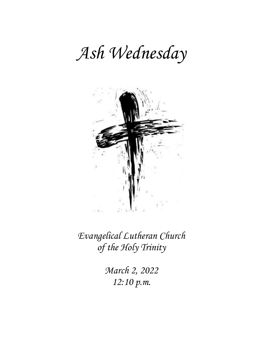# *Ash Wednesday*



*Evangelical Lutheran Church of the Holy Trinity*

> *March 2, 2022 12:10 p.m.*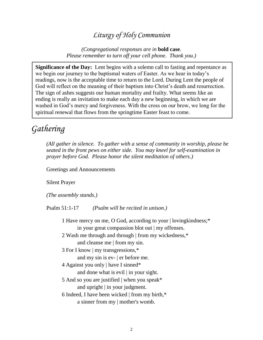# *Liturgy of Holy Communion*

*(Congregational responses are in* **bold case***. Please remember to turn off your cell phone. Thank you.)*

**Significance of the Day:** Lent begins with a solemn call to fasting and repentance as we begin our journey to the baptismal waters of Easter. As we hear in today's readings, now is the acceptable time to return to the Lord. During Lent the people of God will reflect on the meaning of their baptism into Christ's death and resurrection. The sign of ashes suggests our human mortality and frailty. What seems like an ending is really an invitation to make each day a new beginning, in which we are washed in God's mercy and forgiveness. With the cross on our brow, we long for the spiritual renewal that flows from the springtime Easter feast to come.

# *Gathering*

*(All gather in silence. To gather with a sense of community in worship, please be seated in the front pews on either side. You may kneel for self-examination in prayer before God. Please honor the silent meditation of others.)*

Greetings and Announcements

Silent Prayer

*(The assembly stands.)*

Psalm 51:1-17 *(Psalm will be recited in unison.)*

- 1 Have mercy on me, O God, according to your | lovingkindness;\* in your great compassion blot out | my offenses.
- 2 Wash me through and through | from my wickedness,\* and cleanse me | from my sin.
- 3 For I know | my transgressions,\*

and my sin is ev- | er before me.

4 Against you only | have I sinned\*

and done what is evil | in your sight.

- 5 And so you are justified | when you speak\* and upright | in your judgment.
- 6 Indeed, I have been wicked | from my birth,\*

a sinner from my | mother's womb.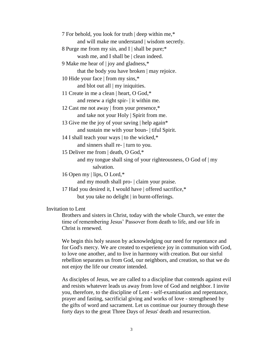| 7 For behold, you look for truth   deep within me,*   |
|-------------------------------------------------------|
| and will make me understand   wisdom secretly.        |
| 8 Purge me from my sin, and I   shall be pure;*       |
| wash me, and I shall be $\vert$ clean indeed.         |
| 9 Make me hear of   joy and gladness,*                |
| that the body you have broken   may rejoice.          |
| 10 Hide your face   from my sins,*                    |
| and blot out all $\vert$ my iniquities.               |
| 11 Create in me a clean   heart, O God,*              |
| and renew a right spir-   it within me.               |
| 12 Cast me not away   from your presence,*            |
| and take not your Holy   Spirit from me.              |
| 13 Give me the joy of your saving   help again*       |
| and sustain me with your boun-   tiful Spirit.        |
| 14 I shall teach your ways   to the wicked,*          |
| and sinners shall re-   turn to you.                  |
| 15 Deliver me from   death, O God,*                   |
| and my tongue shall sing of your righteousness, O God |
| salvation.                                            |
| $160$ $\ldots$ $15.0$ $\Omega$ $1.0$                  |

16 Open my | lips, O Lord,\*

and my mouth shall pro- | claim your praise.

17 Had you desired it, I would have | offered sacrifice,\* but you take no delight | in burnt-offerings.

Invitation to Lent

Brothers and sisters in Christ, today with the whole Church, we enter the time of remembering Jesus' Passover from death to life, and our life in Christ is renewed.

of  $\mid$  my

We begin this holy season by acknowledging our need for repentance and for God's mercy. We are created to experience joy in communion with God, to love one another, and to live in harmony with creation. But our sinful rebellion separates us from God, our neighbors, and creation, so that we do not enjoy the life our creator intended.

As disciples of Jesus, we are called to a discipline that contends against evil and resists whatever leads us away from love of God and neighbor. I invite you, therefore, to the discipline of Lent - self-examination and repentance, prayer and fasting, sacrificial giving and works of love - strengthened by the gifts of word and sacrament. Let us continue our journey through these forty days to the great Three Days of Jesus' death and resurrection.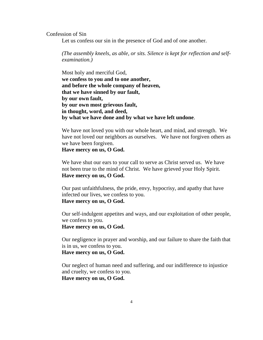Confession of Sin

Let us confess our sin in the presence of God and of one another.

*(The assembly kneels, as able, or sits. Silence is kept for reflection and selfexamination.)*

Most holy and merciful God, **we confess to you and to one another, and before the whole company of heaven, that we have sinned by our fault, by our own fault, by our own most grievous fault, in thought, word, and deed, by what we have done and by what we have left undone**.

We have not loved you with our whole heart, and mind, and strength. We have not loved our neighbors as ourselves. We have not forgiven others as we have been forgiven.

#### **Have mercy on us, O God.**

We have shut our ears to your call to serve as Christ served us. We have not been true to the mind of Christ. We have grieved your Holy Spirit. **Have mercy on us, O God.**

Our past unfaithfulness, the pride, envy, hypocrisy, and apathy that have infected our lives, we confess to you. **Have mercy on us, O God.**

Our self-indulgent appetites and ways, and our exploitation of other people, we confess to you. **Have mercy on us, O God.**

Our negligence in prayer and worship, and our failure to share the faith that is in us, we confess to you. **Have mercy on us, O God.**

Our neglect of human need and suffering, and our indifference to injustice and cruelty, we confess to you. **Have mercy on us, O God.**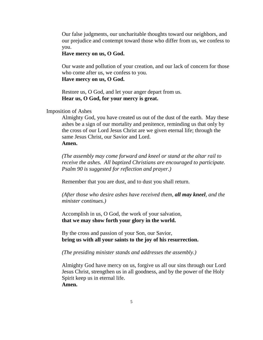Our false judgments, our uncharitable thoughts toward our neighbors, and our prejudice and contempt toward those who differ from us, we confess to you.

#### **Have mercy on us, O God.**

Our waste and pollution of your creation, and our lack of concern for those who come after us, we confess to you.

### **Have mercy on us, O God.**

Restore us, O God, and let your anger depart from us. **Hear us, O God, for your mercy is great.**

Imposition of Ashes

Almighty God, you have created us out of the dust of the earth. May these ashes be a sign of our mortality and penitence, reminding us that only by the cross of our Lord Jesus Christ are we given eternal life; through the same Jesus Christ, our Savior and Lord. **Amen.**

*(The assembly may come forward and kneel or stand at the altar rail to receive the ashes. All baptized Christians are encouraged to participate. Psalm 90 is suggested for reflection and prayer.)*

Remember that you are dust, and to dust you shall return.

*(After those who desire ashes have received them, all may kneel, and the minister continues.)*

Accomplish in us, O God, the work of your salvation, **that we may show forth your glory in the world.**

By the cross and passion of your Son, our Savior, **bring us with all your saints to the joy of his resurrection.**

*(The presiding minister stands and addresses the assembly.)*

Almighty God have mercy on us, forgive us all our sins through our Lord Jesus Christ, strengthen us in all goodness, and by the power of the Holy Spirit keep us in eternal life. **Amen.**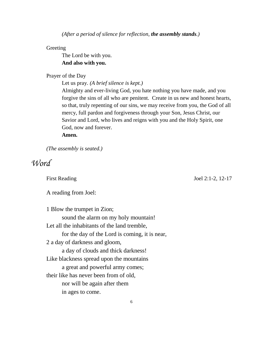*(After a period of silence for reflection, the assembly stands.)*

**Greeting** 

The Lord be with you. **And also with you.**

Prayer of the Day

Let us pray. *(A brief silence is kept.)*

Almighty and ever-living God, you hate nothing you have made, and you forgive the sins of all who are penitent. Create in us new and honest hearts, so that, truly repenting of our sins, we may receive from you, the God of all mercy, full pardon and forgiveness through your Son, Jesus Christ, our Savior and Lord, who lives and reigns with you and the Holy Spirit, one God, now and forever.

# **Amen.**

*(The assembly is seated.)*

# *Word*

First Reading Joel 2:1-2, 12-17

A reading from Joel:

1 Blow the trumpet in Zion; sound the alarm on my holy mountain! Let all the inhabitants of the land tremble, for the day of the Lord is coming, it is near, 2 a day of darkness and gloom, a day of clouds and thick darkness! Like blackness spread upon the mountains a great and powerful army comes; their like has never been from of old, nor will be again after them in ages to come.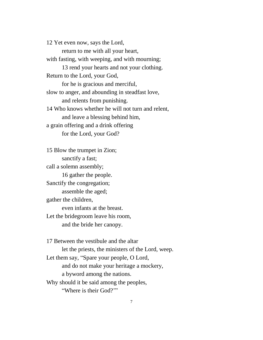12 Yet even now, says the Lord, return to me with all your heart, with fasting, with weeping, and with mourning; 13 rend your hearts and not your clothing. Return to the Lord, your God, for he is gracious and merciful, slow to anger, and abounding in steadfast love, and relents from punishing. 14 Who knows whether he will not turn and relent, and leave a blessing behind him, a grain offering and a drink offering for the Lord, your God?

15 Blow the trumpet in Zion; sanctify a fast; call a solemn assembly; 16 gather the people. Sanctify the congregation; assemble the aged; gather the children, even infants at the breast. Let the bridegroom leave his room, and the bride her canopy.

17 Between the vestibule and the altar let the priests, the ministers of the Lord, weep. Let them say, "Spare your people, O Lord, and do not make your heritage a mockery, a byword among the nations. Why should it be said among the peoples, "Where is their God?'"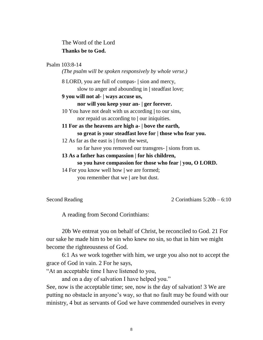The Word of the Lord **Thanks be to God.**

### Psalm 103:8-14

*(The psalm will be spoken responsively by whole verse.)*

- 8 LORD, you are full of compas- **|** sion and mercy, slow to anger and abounding in **|** steadfast love;
- **9 you will not al- | ways accuse us,**

#### **nor will you keep your an- | ger forever.**

- 10 You have not dealt with us according **|** to our sins, nor repaid us according to **|** our iniquities.
- **11 For as the heavens are high a- | bove the earth, so great is your steadfast love for | those who fear you.**
- 12 As far as the east is **|** from the west, so far have you removed our transgres- **|** sions from us.
- **13 As a father has compassion | for his children, so you have compassion for those who fear | you, O LORD.**
- 14 For you know well how **|** we are formed; you remember that we **|** are but dust.

Second Reading 2 Corinthians 5:20b – 6:10

A reading from Second Corinthians:

20b We entreat you on behalf of Christ, be reconciled to God. 21 For our sake he made him to be sin who knew no sin, so that in him we might become the righteousness of God.

6:1 As we work together with him, we urge you also not to accept the grace of God in vain. 2 For he says,

"At an acceptable time I have listened to you,

and on a day of salvation I have helped you."

See, now is the acceptable time; see, now is the day of salvation! 3 We are putting no obstacle in anyone's way, so that no fault may be found with our ministry, 4 but as servants of God we have commended ourselves in every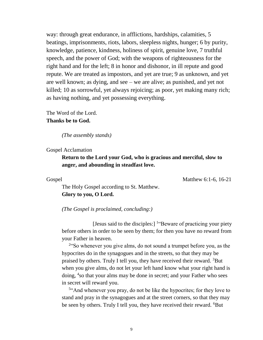way: through great endurance, in afflictions, hardships, calamities, 5 beatings, imprisonments, riots, labors, sleepless nights, hunger; 6 by purity, knowledge, patience, kindness, holiness of spirit, genuine love, 7 truthful speech, and the power of God; with the weapons of righteousness for the right hand and for the left; 8 in honor and dishonor, in ill repute and good repute. We are treated as impostors, and yet are true; 9 as unknown, and yet are well known; as dying, and see – we are alive; as punished, and yet not killed; 10 as sorrowful, yet always rejoicing; as poor, yet making many rich; as having nothing, and yet possessing everything.

The Word of the Lord. **Thanks be to God.**

*(The assembly stands)*

Gospel Acclamation

**Return to the Lord your God, who is gracious and merciful, slow to anger, and abounding in steadfast love.**

Gospel Matthew 6:1-6, 16-21

The Holy Gospel according to St. Matthew. **Glory to you, O Lord.**

*(The Gospel is proclaimed, concluding:)*

[Jesus said to the disciples:] 1 "Beware of practicing your piety before others in order to be seen by them; for then you have no reward from your Father in heaven.

<sup>2</sup> So whenever you give alms, do not sound a trumpet before you, as the hypocrites do in the synagogues and in the streets, so that they may be praised by others. Truly I tell you, they have received their reward. <sup>3</sup>But when you give alms, do not let your left hand know what your right hand is doing, <sup>4</sup> so that your alms may be done in secret; and your Father who sees in secret will reward you.

<sup>5"</sup>And whenever you pray, do not be like the hypocrites; for they love to stand and pray in the synagogues and at the street corners, so that they may be seen by others. Truly I tell you, they have received their reward. <sup>6</sup>But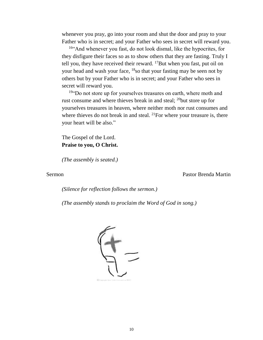whenever you pray, go into your room and shut the door and pray to your Father who is in secret; and your Father who sees in secret will reward you.

<sup>16"</sup>And whenever you fast, do not look dismal, like the hypocrites, for they disfigure their faces so as to show others that they are fasting. Truly I tell you, they have received their reward.  $^{17}$ But when you fast, put oil on your head and wash your face, <sup>18</sup> so that your fasting may be seen not by others but by your Father who is in secret; and your Father who sees in secret will reward you.

<sup>19</sup>"Do not store up for yourselves treasures on earth, where moth and rust consume and where thieves break in and steal; <sup>20</sup>but store up for yourselves treasures in heaven, where neither moth nor rust consumes and where thieves do not break in and steal. <sup>21</sup>For where your treasure is, there your heart will be also."

The Gospel of the Lord. **Praise to you, O Christ.**

*(The assembly is seated.)*

Sermon Pastor Brenda Martin

*(Silence for reflection follows the sermon.)*

*(The assembly stands to proclaim the Word of God in song.)*

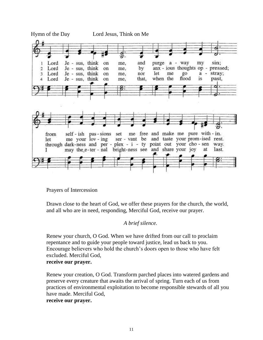

Prayers of Intercession

Drawn close to the heart of God, we offer these prayers for the church, the world, and all who are in need, responding, Merciful God, receive our prayer.

### *A brief silence.*

Renew your church, O God. When we have drifted from our call to proclaim repentance and to guide your people toward justice, lead us back to you. Encourage believers who hold the church's doors open to those who have felt excluded. Merciful God,

### **receive our prayer.**

Renew your creation, O God. Transform parched places into watered gardens and preserve every creature that awaits the arrival of spring. Turn each of us from practices of environmental exploitation to become responsible stewards of all you have made. Merciful God,

**receive our prayer.**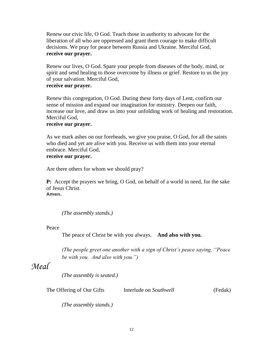Renew our civic life, O God. Teach those in authority to advocate for the liberation of all who are oppressed and grant them courage to make difficult decisions. We pray for peace between Russia and Ukraine. Merciful God, **receive our prayer.**

Renew our lives, O God. Spare your people from diseases of the body, mind, or spirit and send healing to those overcome by illness or grief. Restore to us the joy of your salvation. Merciful God,

### **receive our prayer.**

Renew this congregation, O God. During these forty days of Lent, confirm our sense of mission and expand our imagination for ministry. Deepen our faith, increase our love, and draw us into your unfolding work of healing and restoration. Merciful God,

### **receive our prayer.**

As we mark ashes on our foreheads, we give you praise, O God, for all the saints who died and yet are alive with you. Receive us with them into your eternal embrace. Merciful God,

### **receive our prayer.**

Are there others for whom we should pray?

**P:** Accept the prayers we bring, O God, on behalf of a world in need, for the sake of Jesus Christ.

**Amen.**

*(The assembly stands.)*

Peace

The peace of Christ be with you always. **And also with you.**

*(The people greet one another with a sign of Christ's peace saying, "Peace be with you. And also with you.")* 

# *Meal*

*(The assembly is seated.)*

The Offering of Our Gifts Interlude on *Southwell* (Fedak)

*(The assembly stands.)*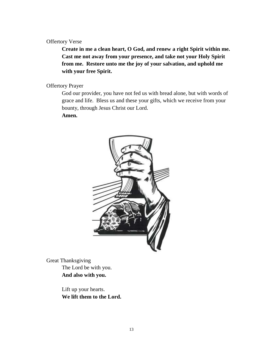### Offertory Verse

**Create in me a clean heart, O God, and renew a right Spirit within me. Cast me not away from your presence, and take not your Holy Spirit from me. Restore unto me the joy of your salvation, and uphold me with your free Spirit.**

# Offertory Prayer

God our provider, you have not fed us with bread alone, but with words of grace and life. Bless us and these your gifts, which we receive from your bounty, through Jesus Christ our Lord.

#### **Amen.**



Great Thanksgiving The Lord be with you. **And also with you.**

> Lift up your hearts. **We lift them to the Lord.**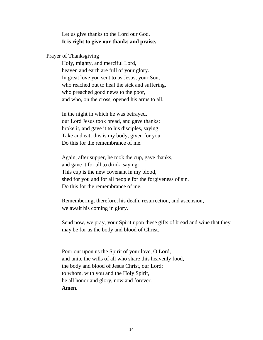Let us give thanks to the Lord our God. **It is right to give our thanks and praise.**

Prayer of Thanksgiving

Holy, mighty, and merciful Lord, heaven and earth are full of your glory. In great love you sent to us Jesus, your Son, who reached out to heal the sick and suffering, who preached good news to the poor, and who, on the cross, opened his arms to all.

In the night in which he was betrayed, our Lord Jesus took bread, and gave thanks; broke it, and gave it to his disciples, saying: Take and eat; this is my body, given for you. Do this for the remembrance of me.

Again, after supper, he took the cup, gave thanks, and gave it for all to drink, saying: This cup is the new covenant in my blood, shed for you and for all people for the forgiveness of sin. Do this for the remembrance of me.

Remembering, therefore, his death, resurrection, and ascension, we await his coming in glory.

Send now, we pray, your Spirit upon these gifts of bread and wine that they may be for us the body and blood of Christ.

Pour out upon us the Spirit of your love, O Lord, and unite the wills of all who share this heavenly food, the body and blood of Jesus Christ, our Lord; to whom, with you and the Holy Spirit, be all honor and glory, now and forever. **Amen.**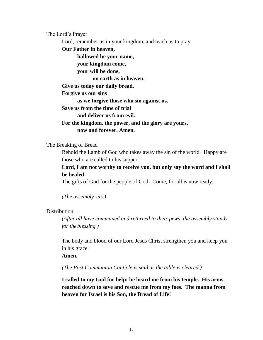The Lord's Prayer

Lord, remember us in your kingdom, and teach us to pray.

**Our Father in heaven,**

**hallowed be your name,**

**your kingdom come,**

**your will be done,**

**on earth as in heaven.**

**Give us today our daily bread.**

**Forgive us our sins**

**as we forgive those who sin against us.**

**Save us from the time of trial**

**and deliver us from evil.**

**For the kingdom, the power, and the glory are yours, now and forever. Amen.**

#### The Breaking of Bread

Behold the Lamb of God who takes away the sin of the world. Happy are those who are called to his supper.

**Lord, I am not worthy to receive you, but only say the word and I shall be healed.**

The gifts of God for the people of God. Come, for all is now ready.

*(The assembly sits.)*

**Distribution** 

*(After all have communed and returned to their pews, the assembly stands for the blessing.)*

The body and blood of our Lord Jesus Christ strengthen you and keep you in his grace.

**Amen.**

*(The Post Communion Canticle is said as the table is cleared.)*

**I called to my God for help; he heard me from his temple. His arms reached down to save and rescue me from my foes. The manna from heaven for Israel is his Son, the Bread of Life!**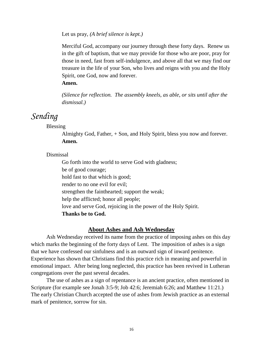Let us pray, *(A brief silence is kept.)*

Merciful God, accompany our journey through these forty days. Renew us in the gift of baptism, that we may provide for those who are poor, pray for those in need, fast from self-indulgence, and above all that we may find our treasure in the life of your Son, who lives and reigns with you and the Holy Spirit, one God, now and forever.

### **Amen.**

*(Silence for reflection. The assembly kneels, as able, or sits until after the dismissal.)*

# *Sending*

Blessing

Almighty God, Father, + Son, and Holy Spirit, bless you now and forever. **Amen.**

Dismissal

Go forth into the world to serve God with gladness; be of good courage; hold fast to that which is good; render to no one evil for evil; strengthen the fainthearted; support the weak; help the afflicted; honor all people; love and serve God, rejoicing in the power of the Holy Spirit. **Thanks be to God.**

# **About Ashes and Ash Wednesday**

Ash Wednesday received its name from the practice of imposing ashes on this day which marks the beginning of the forty days of Lent. The imposition of ashes is a sign that we have confessed our sinfulness and is an outward sign of inward penitence. Experience has shown that Christians find this practice rich in meaning and powerful in emotional impact. After being long neglected, this practice has been revived in Lutheran congregations over the past several decades.

The use of ashes as a sign of repentance is an ancient practice, often mentioned in Scripture (for example see Jonah 3:5-9; Job 42:6; Jeremiah 6:26; and Matthew 11:21.) The early Christian Church accepted the use of ashes from Jewish practice as an external mark of penitence, sorrow for sin.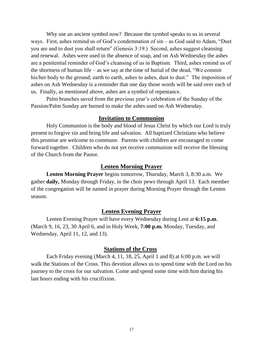Why use an ancient symbol now? Because the symbol speaks to us in several ways. First, ashes remind us of God's condemnation of sin – as God said to Adam, "Dust you are and to dust you shall return" (Genesis 3:19.) Second, ashes suggest cleansing and renewal. Ashes were used in the absence of soap, and on Ash Wednesday the ashes are a penitential reminder of God's cleansing of us in Baptism. Third, ashes remind us of the shortness of human life – as we say at the time of burial of the dead, "We commit his/her body to the ground; earth to earth, ashes to ashes, dust to dust." The imposition of ashes on Ash Wednesday is a reminder that one day those words will be said over each of us. Finally, as mentioned above, ashes are a symbol of repentance.

Palm branches saved from the previous year's celebration of the Sunday of the Passion/Palm Sunday are burned to make the ashes used on Ash Wednesday.

### **Invitation to Communion**

Holy Communion is the body and blood of Jesus Christ by which our Lord is truly present to forgive sin and bring life and salvation. All baptized Christians who believe this promise are welcome to commune. Parents with children are encouraged to come forward together. Children who do not yet receive communion will receive the blessing of the Church from the Pastor.

### **Lenten Morning Prayer**

**Lenten Morning Prayer** begins tomorrow, Thursday, March 3, 8:30 a.m. We gather **daily,** Monday through Friday, in the choir pews through April 13. Each member of the congregation will be named in prayer during Morning Prayer through the Lenten season.

### **Lenten Evening Prayer**

Lenten Evening Prayer will have every Wednesday during Lent at **6:15 p.m**. (March 9, 16, 23, 30 April 6, and in Holy Week, **7:00 p.m.** Monday, Tuesday, and Wednesday, April 11, 12, and 13).

### **Stations of the Cross**

Each Friday evening (March 4, 11, 18, 25, April 1 and 8) at 6:00 p.m. we will walk the Stations of the Cross. This devotion allows us to spend time with the Lord on his journey to the cross for our salvation. Come and spend some time with him during his last hours ending with his crucifixion.